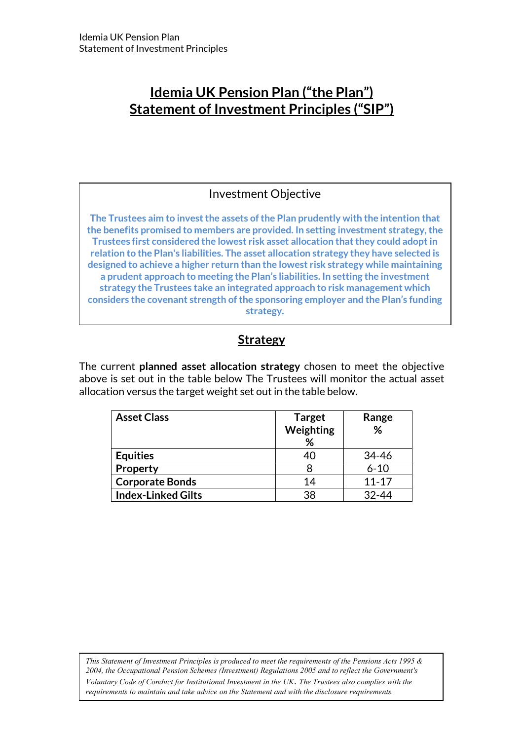# Idemia UK Pension Plan ("the Plan") Statement of Investment Principles ("SIP")

### Investment Objective

The Trustees aim to invest the assets of the Plan prudently with the intention that the benefits promised to members are provided. In setting investment strategy, the Trustees first considered the lowest risk asset allocation that they could adopt in relation to the Plan's liabilities. The asset allocation strategy they have selected is designed to achieve a higher return than the lowest risk strategy while maintaining a prudent approach to meeting the Plan's liabilities. In setting the investment strategy the Trustees take an integrated approach to risk management which considers the covenant strength of the sponsoring employer and the Plan's funding strategy.

## **Strategy**

The current planned asset allocation strategy chosen to meet the objective above is set out in the table below The Trustees will monitor the actual asset allocation versus the target weight set out in the table below.

| <b>Asset Class</b>        | <b>Target</b><br>Weighting<br>℅ | Range<br>% |
|---------------------------|---------------------------------|------------|
| <b>Equities</b>           | 40                              | 34-46      |
| Property                  |                                 | $6 - 10$   |
| <b>Corporate Bonds</b>    | 14                              | $11 - 17$  |
| <b>Index-Linked Gilts</b> | 38                              | $32 - 44$  |

This Statement of Investment Principles is produced to meet the requirements of the Pensions Acts 1995 & 2004, the Occupational Pension Schemes (Investment) Regulations 2005 and to reflect the Government's Voluntary Code of Conduct for Institutional Investment in the UK. The Trustees also complies with the requirements to maintain and take advice on the Statement and with the disclosure requirements.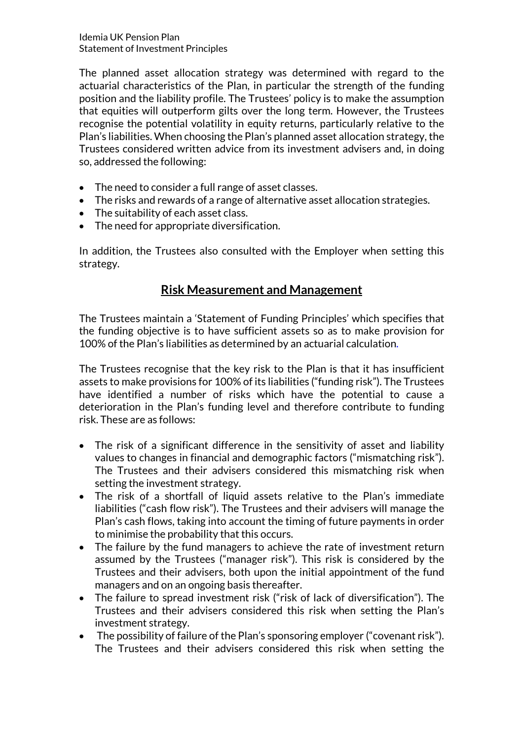The planned asset allocation strategy was determined with regard to the actuarial characteristics of the Plan, in particular the strength of the funding position and the liability profile. The Trustees' policy is to make the assumption that equities will outperform gilts over the long term. However, the Trustees recognise the potential volatility in equity returns, particularly relative to the Plan's liabilities. When choosing the Plan's planned asset allocation strategy, the Trustees considered written advice from its investment advisers and, in doing so, addressed the following:

- The need to consider a full range of asset classes.
- The risks and rewards of a range of alternative asset allocation strategies.
- The suitability of each asset class.
- The need for appropriate diversification.

In addition, the Trustees also consulted with the Employer when setting this strategy.

## Risk Measurement and Management

The Trustees maintain a 'Statement of Funding Principles' which specifies that the funding objective is to have sufficient assets so as to make provision for 100% of the Plan's liabilities as determined by an actuarial calculation.

The Trustees recognise that the key risk to the Plan is that it has insufficient assets to make provisions for 100% of its liabilities ("funding risk"). The Trustees have identified a number of risks which have the potential to cause a deterioration in the Plan's funding level and therefore contribute to funding risk. These are as follows:

- The risk of a significant difference in the sensitivity of asset and liability values to changes in financial and demographic factors ("mismatching risk"). The Trustees and their advisers considered this mismatching risk when setting the investment strategy.
- The risk of a shortfall of liquid assets relative to the Plan's immediate liabilities ("cash flow risk"). The Trustees and their advisers will manage the Plan's cash flows, taking into account the timing of future payments in order to minimise the probability that this occurs.
- The failure by the fund managers to achieve the rate of investment return assumed by the Trustees ("manager risk"). This risk is considered by the Trustees and their advisers, both upon the initial appointment of the fund managers and on an ongoing basis thereafter.
- The failure to spread investment risk ("risk of lack of diversification"). The Trustees and their advisers considered this risk when setting the Plan's investment strategy.
- The possibility of failure of the Plan's sponsoring employer ("covenant risk"). The Trustees and their advisers considered this risk when setting the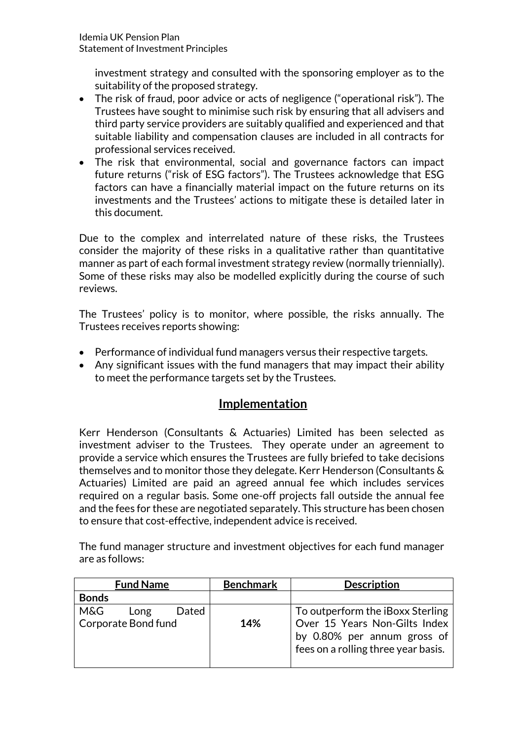investment strategy and consulted with the sponsoring employer as to the suitability of the proposed strategy.

- The risk of fraud, poor advice or acts of negligence ("operational risk"). The Trustees have sought to minimise such risk by ensuring that all advisers and third party service providers are suitably qualified and experienced and that suitable liability and compensation clauses are included in all contracts for professional services received.
- The risk that environmental, social and governance factors can impact future returns ("risk of ESG factors"). The Trustees acknowledge that ESG factors can have a financially material impact on the future returns on its investments and the Trustees' actions to mitigate these is detailed later in this document.

Due to the complex and interrelated nature of these risks, the Trustees consider the majority of these risks in a qualitative rather than quantitative manner as part of each formal investment strategy review (normally triennially). Some of these risks may also be modelled explicitly during the course of such reviews.

The Trustees' policy is to monitor, where possible, the risks annually. The Trustees receives reports showing:

- Performance of individual fund managers versus their respective targets.
- Any significant issues with the fund managers that may impact their ability to meet the performance targets set by the Trustees.

## Implementation

Kerr Henderson (Consultants & Actuaries) Limited has been selected as investment adviser to the Trustees. They operate under an agreement to provide a service which ensures the Trustees are fully briefed to take decisions themselves and to monitor those they delegate. Kerr Henderson (Consultants & Actuaries) Limited are paid an agreed annual fee which includes services required on a regular basis. Some one-off projects fall outside the annual fee and the fees for these are negotiated separately. This structure has been chosen to ensure that cost-effective, independent advice is received.

The fund manager structure and investment objectives for each fund manager are as follows:

| <b>Fund Name</b>                                   | <b>Benchmark</b> | <b>Description</b>                                                                                                                      |
|----------------------------------------------------|------------------|-----------------------------------------------------------------------------------------------------------------------------------------|
| <b>Bonds</b>                                       |                  |                                                                                                                                         |
| M&G<br>Dated<br>Long<br><b>Corporate Bond fund</b> | 14%              | To outperform the iBoxx Sterling<br>Over 15 Years Non-Gilts Index<br>by 0.80% per annum gross of<br>fees on a rolling three year basis. |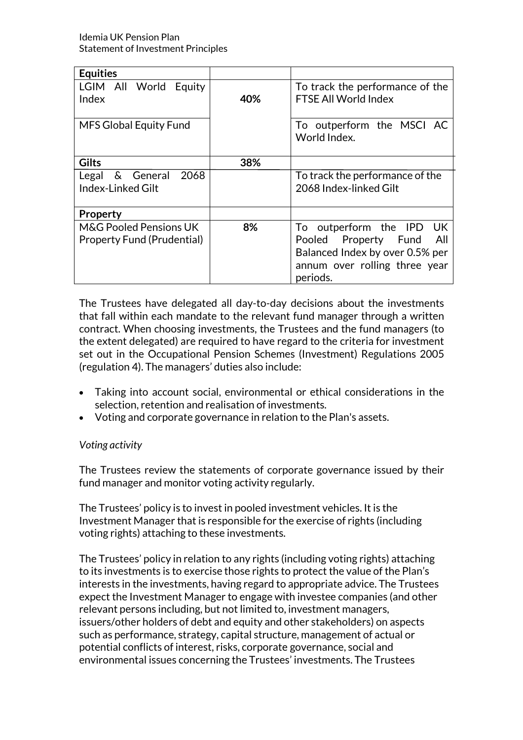| <b>Equities</b>                                                        |     |                                                                                                                                                         |  |
|------------------------------------------------------------------------|-----|---------------------------------------------------------------------------------------------------------------------------------------------------------|--|
| LGIM All World Equity<br>Index                                         | 40% | To track the performance of the<br>FTSE All World Index                                                                                                 |  |
| <b>MFS Global Equity Fund</b>                                          |     | To outperform the MSCI AC<br>World Index.                                                                                                               |  |
| <b>Gilts</b>                                                           | 38% |                                                                                                                                                         |  |
| Legal & General<br>2068<br>Index-Linked Gilt                           |     | To track the performance of the<br>2068 Index-linked Gilt                                                                                               |  |
| <b>Property</b>                                                        |     |                                                                                                                                                         |  |
| <b>M&amp;G Pooled Pensions UK</b><br><b>Property Fund (Prudential)</b> | 8%  | To outperform the IPD<br><b>UK</b><br>Property<br>All<br>Pooled<br>Fund<br>Balanced Index by over 0.5% per<br>annum over rolling three year<br>periods. |  |

The Trustees have delegated all day-to-day decisions about the investments that fall within each mandate to the relevant fund manager through a written contract. When choosing investments, the Trustees and the fund managers (to the extent delegated) are required to have regard to the criteria for investment set out in the Occupational Pension Schemes (Investment) Regulations 2005 (regulation 4). The managers' duties also include:

- Taking into account social, environmental or ethical considerations in the selection, retention and realisation of investments.
- Voting and corporate governance in relation to the Plan's assets.

### Voting activity

The Trustees review the statements of corporate governance issued by their fund manager and monitor voting activity regularly.

The Trustees' policy is to invest in pooled investment vehicles. It is the Investment Manager that is responsible for the exercise of rights (including voting rights) attaching to these investments.

The Trustees' policy in relation to any rights (including voting rights) attaching to its investments is to exercise those rights to protect the value of the Plan's interests in the investments, having regard to appropriate advice. The Trustees expect the Investment Manager to engage with investee companies (and other relevant persons including, but not limited to, investment managers, issuers/other holders of debt and equity and other stakeholders) on aspects such as performance, strategy, capital structure, management of actual or potential conflicts of interest, risks, corporate governance, social and environmental issues concerning the Trustees' investments. The Trustees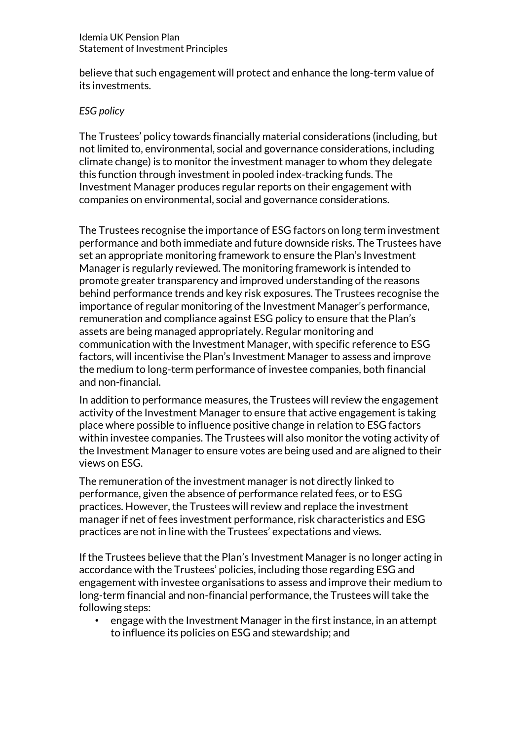believe that such engagement will protect and enhance the long-term value of its investments.

#### ESG policy

The Trustees' policy towards financially material considerations (including, but not limited to, environmental, social and governance considerations, including climate change) is to monitor the investment manager to whom they delegate this function through investment in pooled index-tracking funds. The Investment Manager produces regular reports on their engagement with companies on environmental, social and governance considerations.

The Trustees recognise the importance of ESG factors on long term investment performance and both immediate and future downside risks. The Trustees have set an appropriate monitoring framework to ensure the Plan's Investment Manager is regularly reviewed. The monitoring framework is intended to promote greater transparency and improved understanding of the reasons behind performance trends and key risk exposures. The Trustees recognise the importance of regular monitoring of the Investment Manager's performance, remuneration and compliance against ESG policy to ensure that the Plan's assets are being managed appropriately. Regular monitoring and communication with the Investment Manager, with specific reference to ESG factors, will incentivise the Plan's Investment Manager to assess and improve the medium to long-term performance of investee companies, both financial and non-financial.

In addition to performance measures, the Trustees will review the engagement activity of the Investment Manager to ensure that active engagement is taking place where possible to influence positive change in relation to ESG factors within investee companies. The Trustees will also monitor the voting activity of the Investment Manager to ensure votes are being used and are aligned to their views on ESG.

The remuneration of the investment manager is not directly linked to performance, given the absence of performance related fees, or to ESG practices. However, the Trustees will review and replace the investment manager if net of fees investment performance, risk characteristics and ESG practices are not in line with the Trustees' expectations and views.

If the Trustees believe that the Plan's Investment Manager is no longer acting in accordance with the Trustees' policies, including those regarding ESG and engagement with investee organisations to assess and improve their medium to long-term financial and non-financial performance, the Trustees will take the following steps:

• engage with the Investment Manager in the first instance, in an attempt to influence its policies on ESG and stewardship; and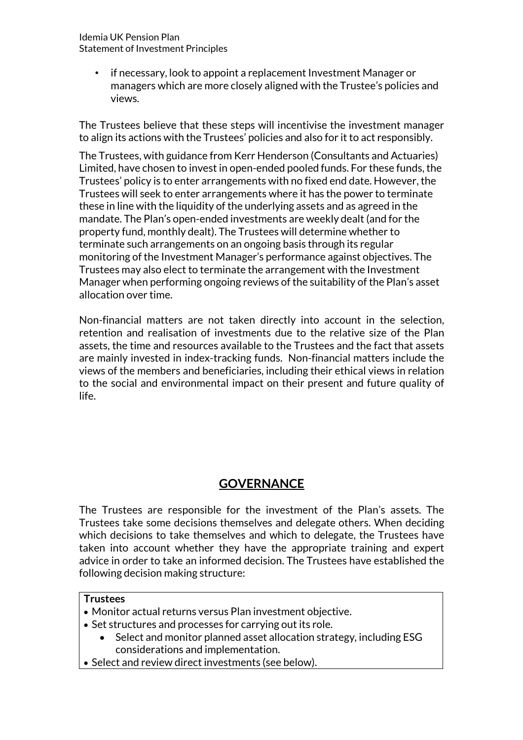Idemia UK Pension Plan Statement of Investment Principles

> • if necessary, look to appoint a replacement Investment Manager or managers which are more closely aligned with the Trustee's policies and views.

The Trustees believe that these steps will incentivise the investment manager to align its actions with the Trustees' policies and also for it to act responsibly.

The Trustees, with guidance from Kerr Henderson (Consultants and Actuaries) Limited, have chosen to invest in open-ended pooled funds. For these funds, the Trustees' policy is to enter arrangements with no fixed end date. However, the Trustees will seek to enter arrangements where it has the power to terminate these in line with the liquidity of the underlying assets and as agreed in the mandate. The Plan's open-ended investments are weekly dealt (and for the property fund, monthly dealt). The Trustees will determine whether to terminate such arrangements on an ongoing basis through its regular monitoring of the Investment Manager's performance against objectives. The Trustees may also elect to terminate the arrangement with the Investment Manager when performing ongoing reviews of the suitability of the Plan's asset allocation over time.

Non-financial matters are not taken directly into account in the selection, retention and realisation of investments due to the relative size of the Plan assets, the time and resources available to the Trustees and the fact that assets are mainly invested in index-tracking funds. Non-financial matters include the views of the members and beneficiaries, including their ethical views in relation to the social and environmental impact on their present and future quality of life.

# **GOVERNANCE**

The Trustees are responsible for the investment of the Plan's assets. The Trustees take some decisions themselves and delegate others. When deciding which decisions to take themselves and which to delegate, the Trustees have taken into account whether they have the appropriate training and expert advice in order to take an informed decision. The Trustees have established the following decision making structure:

#### **Trustees**

- Monitor actual returns versus Plan investment objective.
- Set structures and processes for carrying out its role.
	- Select and monitor planned asset allocation strategy, including ESG considerations and implementation.
- Select and review direct investments (see below).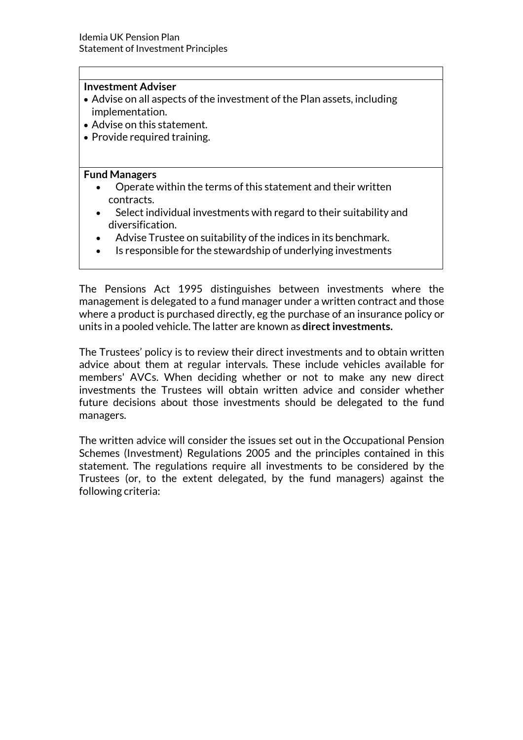#### Investment Adviser

- Advise on all aspects of the investment of the Plan assets, including implementation.
- Advise on this statement.
- Provide required training.

#### Fund Managers

- Operate within the terms of this statement and their written contracts.
- Select individual investments with regard to their suitability and diversification.
- Advise Trustee on suitability of the indices in its benchmark.
- Is responsible for the stewardship of underlying investments

The Pensions Act 1995 distinguishes between investments where the management is delegated to a fund manager under a written contract and those where a product is purchased directly, eg the purchase of an insurance policy or units in a pooled vehicle. The latter are known as direct investments.

The Trustees' policy is to review their direct investments and to obtain written advice about them at regular intervals. These include vehicles available for members' AVCs. When deciding whether or not to make any new direct investments the Trustees will obtain written advice and consider whether future decisions about those investments should be delegated to the fund managers.

The written advice will consider the issues set out in the Occupational Pension Schemes (Investment) Regulations 2005 and the principles contained in this statement. The regulations require all investments to be considered by the Trustees (or, to the extent delegated, by the fund managers) against the following criteria: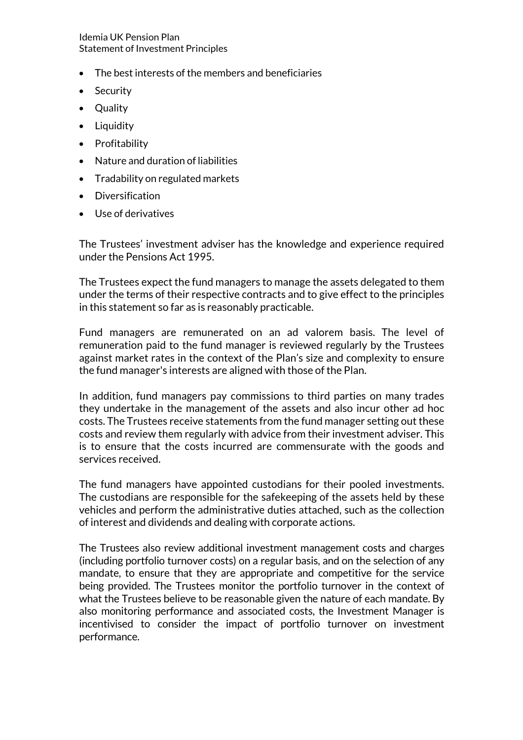Idemia UK Pension Plan Statement of Investment Principles

- The best interests of the members and beneficiaries
- Security
- Quality
- Liquidity
- Profitability
- Nature and duration of liabilities
- Tradability on regulated markets
- Diversification
- Use of derivatives

The Trustees' investment adviser has the knowledge and experience required under the Pensions Act 1995.

The Trustees expect the fund managers to manage the assets delegated to them under the terms of their respective contracts and to give effect to the principles in this statement so far as is reasonably practicable.

Fund managers are remunerated on an ad valorem basis. The level of remuneration paid to the fund manager is reviewed regularly by the Trustees against market rates in the context of the Plan's size and complexity to ensure the fund manager's interests are aligned with those of the Plan.

In addition, fund managers pay commissions to third parties on many trades they undertake in the management of the assets and also incur other ad hoc costs. The Trustees receive statements from the fund manager setting out these costs and review them regularly with advice from their investment adviser. This is to ensure that the costs incurred are commensurate with the goods and services received.

The fund managers have appointed custodians for their pooled investments. The custodians are responsible for the safekeeping of the assets held by these vehicles and perform the administrative duties attached, such as the collection of interest and dividends and dealing with corporate actions.

The Trustees also review additional investment management costs and charges (including portfolio turnover costs) on a regular basis, and on the selection of any mandate, to ensure that they are appropriate and competitive for the service being provided. The Trustees monitor the portfolio turnover in the context of what the Trustees believe to be reasonable given the nature of each mandate. By also monitoring performance and associated costs, the Investment Manager is incentivised to consider the impact of portfolio turnover on investment performance.